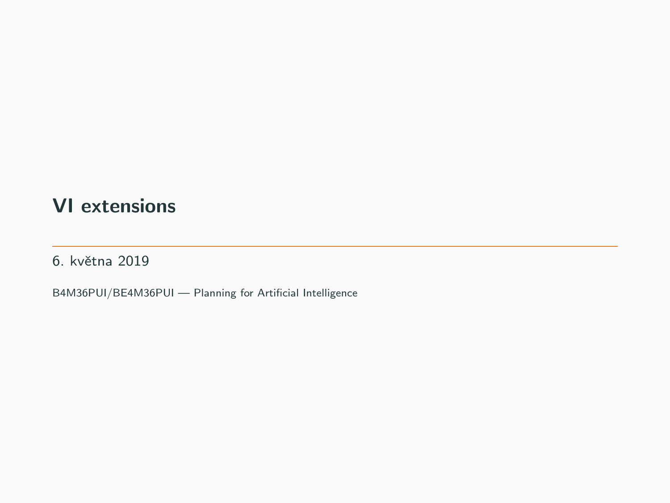# VI extensions

6. května 2019

B4M36PUI/BE4M36PUI — Planning for Artificial Intelligence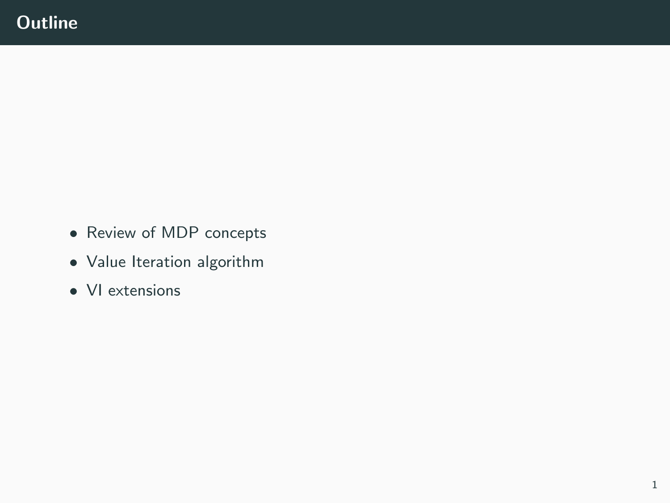- Review of MDP concepts
- Value Iteration algorithm
- VI extensions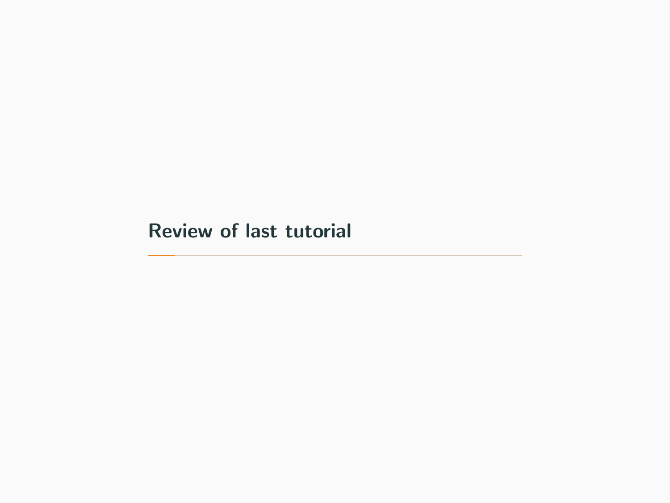# <span id="page-2-0"></span>[Review of last tutorial](#page-2-0)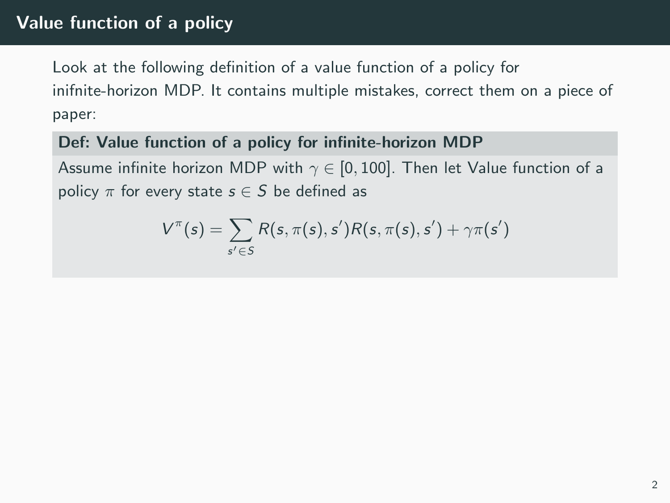# Value function of a policy

Look at the following definition of a value function of a policy for inifnite-horizon MDP. It contains multiple mistakes, correct them on a piece of paper:

#### Def: Value function of a policy for infinite-horizon MDP

Assume infinite horizon MDP with  $\gamma \in [0, 100]$ . Then let Value function of a policy  $\pi$  for every state  $s \in S$  be defined as

$$
V^{\pi}(s) = \sum_{s' \in S} R(s, \pi(s), s')R(s, \pi(s), s') + \gamma \pi(s')
$$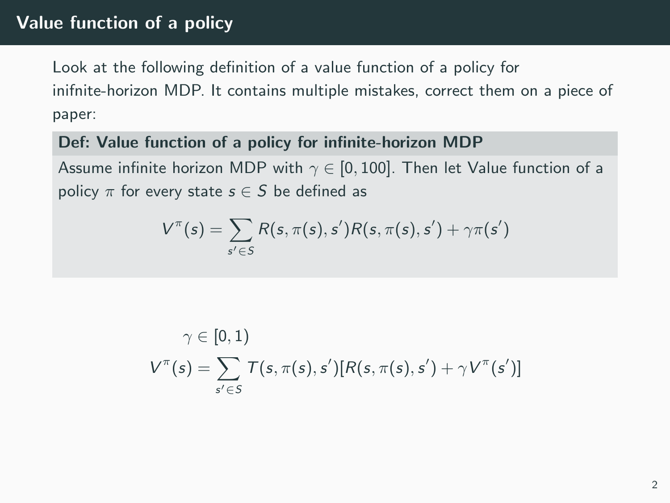## Value function of a policy

Look at the following definition of a value function of a policy for inifnite-horizon MDP. It contains multiple mistakes, correct them on a piece of paper:

#### Def: Value function of a policy for infinite-horizon MDP

Assume infinite horizon MDP with  $\gamma \in [0, 100]$ . Then let Value function of a policy  $\pi$  for every state  $s \in S$  be defined as

$$
V^{\pi}(s) = \sum_{s' \in S} R(s, \pi(s), s')R(s, \pi(s), s') + \gamma \pi(s')
$$

$$
\gamma \in [0,1)
$$
  

$$
V^{\pi}(s) = \sum_{s' \in S} T(s, \pi(s), s')[R(s, \pi(s), s') + \gamma V^{\pi}(s')]
$$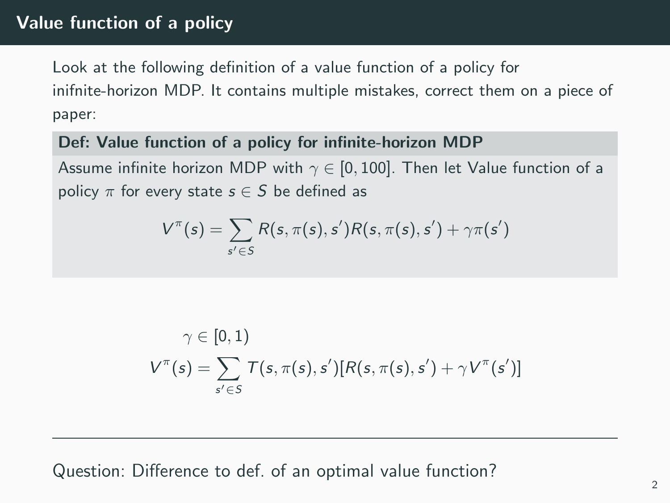## Value function of a policy

Look at the following definition of a value function of a policy for inifnite-horizon MDP. It contains multiple mistakes, correct them on a piece of paper:

#### Def: Value function of a policy for infinite-horizon MDP

Assume infinite horizon MDP with  $\gamma \in [0, 100]$ . Then let Value function of a policy  $\pi$  for every state  $s \in S$  be defined as

$$
V^{\pi}(s) = \sum_{s' \in S} R(s, \pi(s), s')R(s, \pi(s), s') + \gamma \pi(s')
$$

$$
\gamma \in [0,1)
$$
  

$$
V^{\pi}(s) = \sum_{s' \in S} T(s, \pi(s), s')[R(s, \pi(s), s') + \gamma V^{\pi}(s')]
$$

Question: Difference to def. of an optimal value function?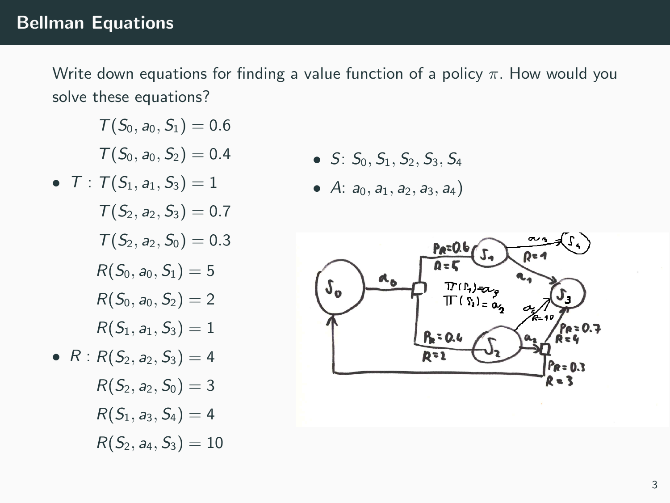### Bellman Equations

Write down equations for finding a value function of a policy  $\pi$ . How would you solve these equations?

$$
\mathcal{T}(S_0,a_0,S_1)=0.6
$$

$$
\mathcal{T}(S_0,a_0,S_2)=0.4
$$

 $\bullet$  T:  $\mathcal{T}(S_1, a_1, S_3) = 1$  $T(S_2, a_2, S_3) = 0.7$  $T(S_2, a_2, S_0) = 0.3$ •  $R: R(S_2, a_2, S_3) = 4$  $R(S_0, a_0, S_1) = 5$  $R(S_0, a_0, S_2) = 2$  $R(S_1, a_1, S_3) = 1$  $R(S_2, a_2, S_0) = 3$  $R(S_1, a_3, S_4) = 4$  $R(S_2, a_4, S_3) = 10$ 

- $S: S_0, S_1, S_2, S_3, S_4$
- A:  $a_0$ ,  $a_1$ ,  $a_2$ ,  $a_3$ ,  $a_4$ )

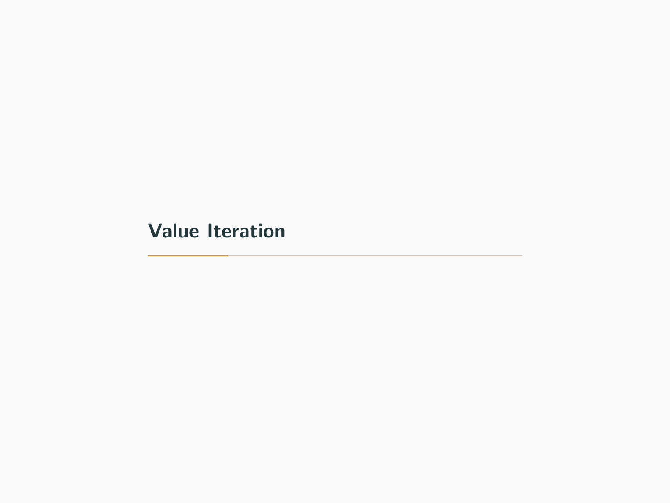<span id="page-7-0"></span>[Value Iteration](#page-7-0)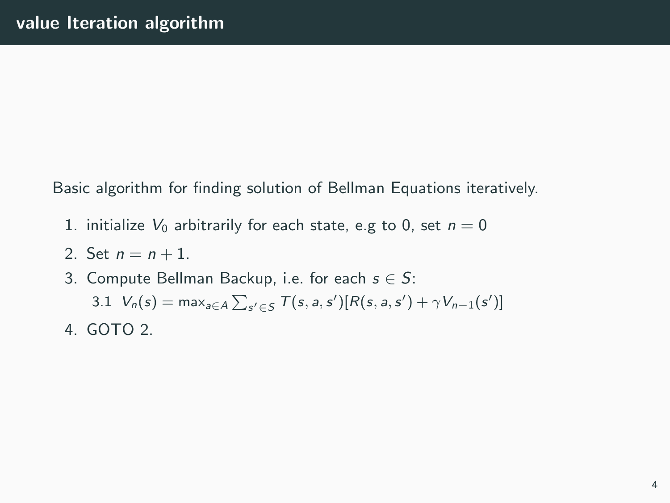Basic algorithm for finding solution of Bellman Equations iteratively.

- 1. initialize  $V_0$  arbitrarily for each state, e.g to 0, set  $n = 0$
- 2. Set  $n = n + 1$ .
- 3. Compute Bellman Backup, i.e. for each  $s \in S$ :

3.1  $V_n(s) = \max_{a \in A} \sum_{s' \in S} T(s, a, s') [R(s, a, s') + \gamma V_{n-1}(s')]$ 

4. GOTO 2.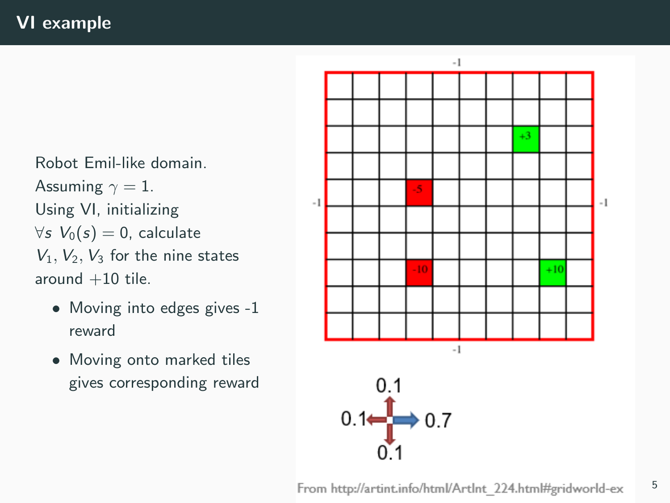Robot Emil-like domain. Assuming  $\gamma = 1$ . Using VI, initializing  $\forall s \; V_0(s) = 0$ , calculate  $V_1$ ,  $V_2$ ,  $V_3$  for the nine states around  $+10$  tile.

- Moving into edges gives -1 reward
- Moving onto marked tiles gives corresponding reward

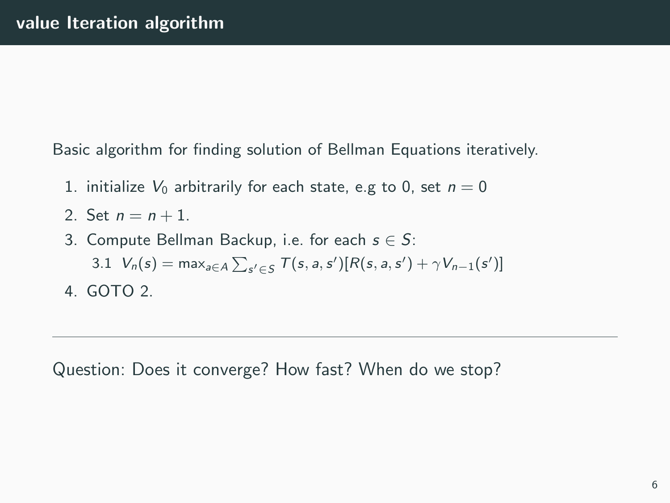Basic algorithm for finding solution of Bellman Equations iteratively.

- 1. initialize  $V_0$  arbitrarily for each state, e.g to 0, set  $n = 0$
- 2. Set  $n = n + 1$ .
- 3. Compute Bellman Backup, i.e. for each  $s \in S$ :
	- 3.1  $V_n(s) = \max_{a \in A} \sum_{s' \in S} T(s, a, s') [R(s, a, s') + \gamma V_{n-1}(s')]$
- 4. GOTO 2.

Question: Does it converge? How fast? When do we stop?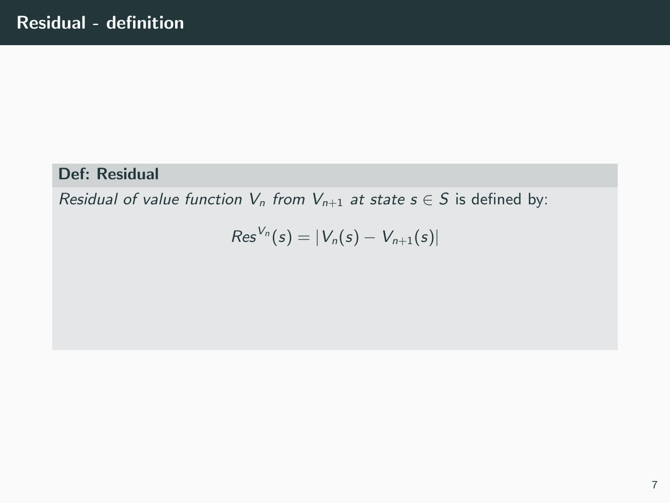### Def: Residual

Residual of value function  $V_n$  from  $V_{n+1}$  at state  $s \in S$  is defined by:

$$
Res^{V_n}(s)=|V_n(s)-V_{n+1}(s)|
$$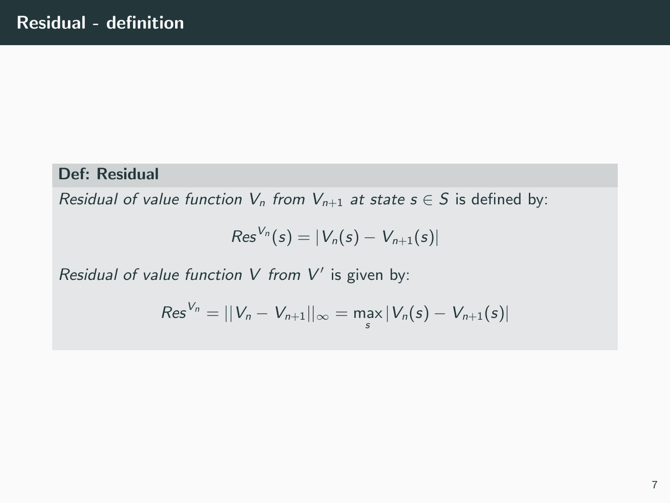### Def: Residual

Residual of value function  $V_n$  from  $V_{n+1}$  at state  $s \in S$  is defined by:

$$
Res^{V_n}(s)=|V_n(s)-V_{n+1}(s)|
$$

Residual of value function  $V$  from  $V'$  is given by:

$$
Res^{V_n} = ||V_n - V_{n+1}||_{\infty} = \max_{s} |V_n(s) - V_{n+1}(s)|
$$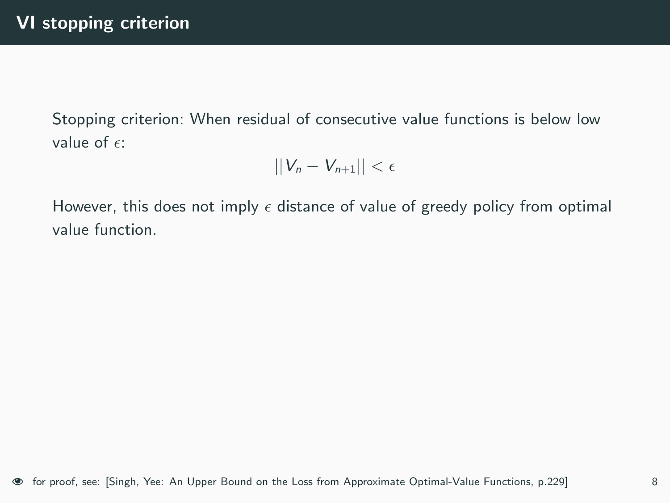Stopping criterion: When residual of consecutive value functions is below low value of  $\epsilon$ :

$$
||V_n - V_{n+1}|| < \epsilon
$$

However, this does not imply  $\epsilon$  distance of value of greedy policy from optimal value function.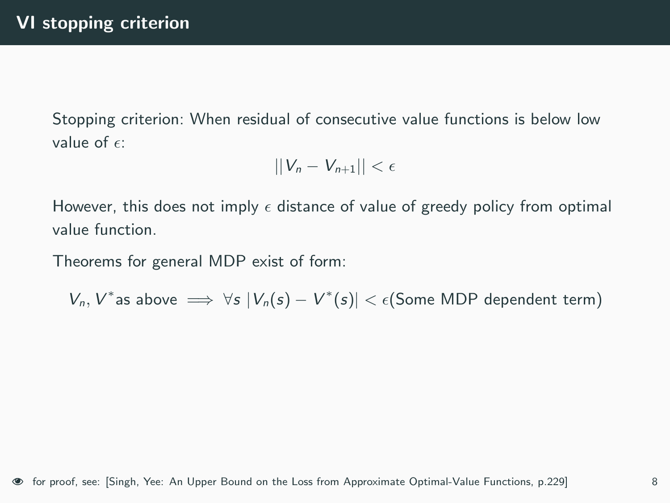Stopping criterion: When residual of consecutive value functions is below low value of  $\epsilon$ :

$$
||V_n - V_{n+1}|| < \epsilon
$$

However, this does not imply  $\epsilon$  distance of value of greedy policy from optimal value function.

Theorems for general MDP exist of form:

 $V_n$ ,  $V^*$ as above  $\implies \forall s |V_n(s) - V^*(s)| < \epsilon$ (Some MDP dependent term)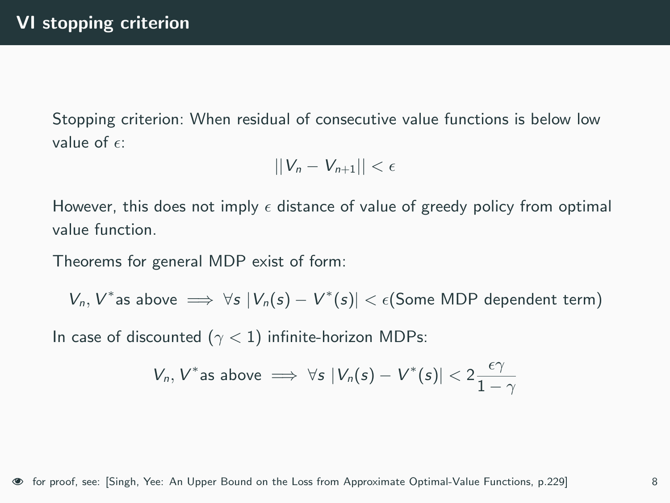Stopping criterion: When residual of consecutive value functions is below low value of  $\epsilon$ :

$$
||V_n - V_{n+1}|| < \epsilon
$$

However, this does not imply  $\epsilon$  distance of value of greedy policy from optimal value function.

Theorems for general MDP exist of form:

 $V_n$ ,  $V^*$ as above  $\implies \forall s |V_n(s) - V^*(s)| < \epsilon$ (Some MDP dependent term)

In case of discounted ( $\gamma$  < 1) infinite-horizon MDPs:

$$
V_n, V^* \text{as above} \implies \forall s \ |V_n(s) - V^*(s)| < 2\frac{\epsilon \gamma}{1-\gamma}
$$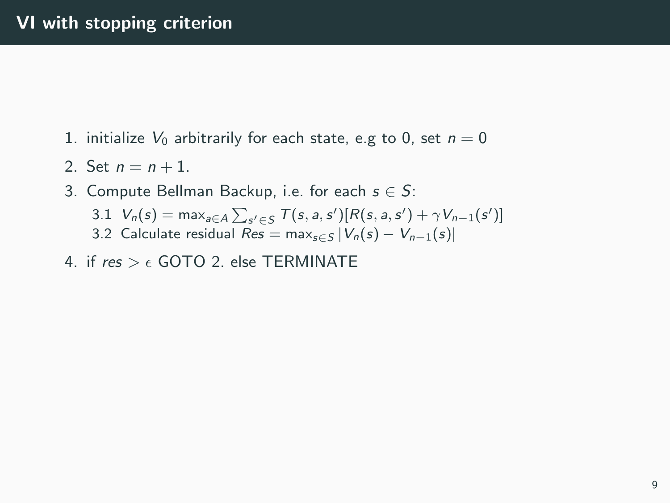- 1. initialize  $V_0$  arbitrarily for each state, e.g to 0, set  $n = 0$
- 2. Set  $n = n + 1$ .
- 3. Compute Bellman Backup, i.e. for each  $s \in S$ :
	- 3.1  $V_n(s) = \max_{a \in A} \sum_{s' \in S} T(s, a, s') [R(s, a, s') + \gamma V_{n-1}(s')]$
	- 3.2 Calculate residual  $Res = \max_{s \in S} |V_n(s) V_{n-1}(s)|$
- 4. if  $res > \epsilon$  GOTO 2. else TERMINATE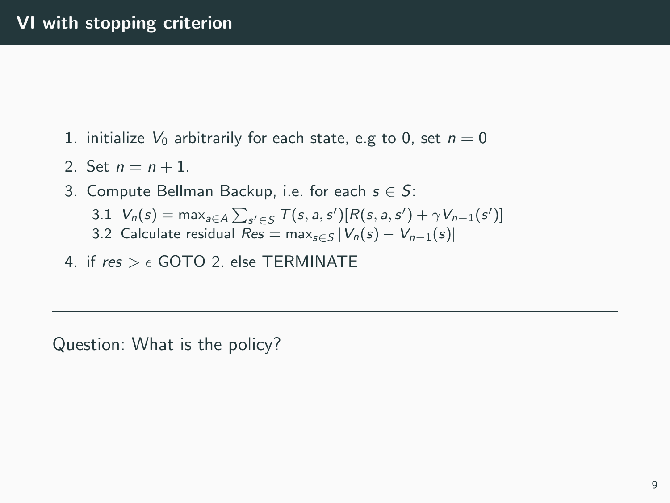- 1. initialize  $V_0$  arbitrarily for each state, e.g to 0, set  $n = 0$
- 2. Set  $n = n + 1$ .
- 3. Compute Bellman Backup, i.e. for each  $s \in S$ :
	- 3.1  $V_n(s) = \max_{a \in A} \sum_{s' \in S} T(s, a, s') [R(s, a, s') + \gamma V_{n-1}(s')]$
	- 3.2 Calculate residual  $Res = \max_{s \in S} |V_n(s) V_{n-1}(s)|$
- 4. if  $res > \epsilon$  GOTO 2. else TERMINATE

Question: What is the policy?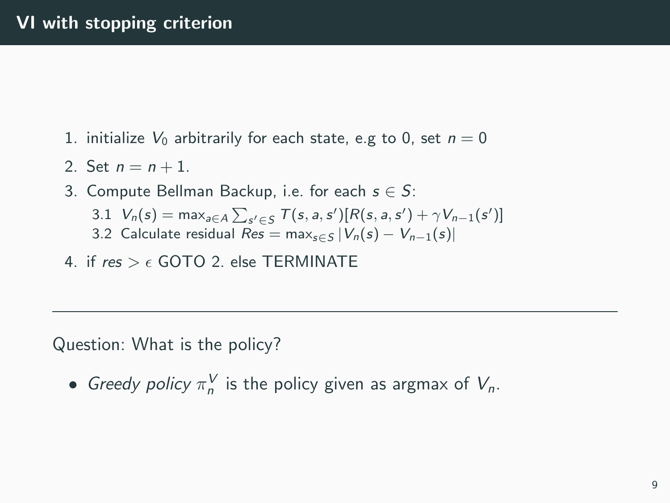- 1. initialize  $V_0$  arbitrarily for each state, e.g to 0, set  $n = 0$
- 2. Set  $n = n + 1$ .
- 3. Compute Bellman Backup, i.e. for each  $s \in S$ :
	- 3.1  $V_n(s) = \max_{a \in A} \sum_{s' \in S} T(s, a, s') [R(s, a, s') + \gamma V_{n-1}(s')]$
	- 3.2 Calculate residual  $Res = \max_{s \in S} |V_n(s) V_{n-1}(s)|$
- 4. if  $res > \epsilon$  GOTO 2. else TERMINATE

Question: What is the policy?

• Greedy policy  $\pi_n^V$  is the policy given as argmax of  $V_n$ .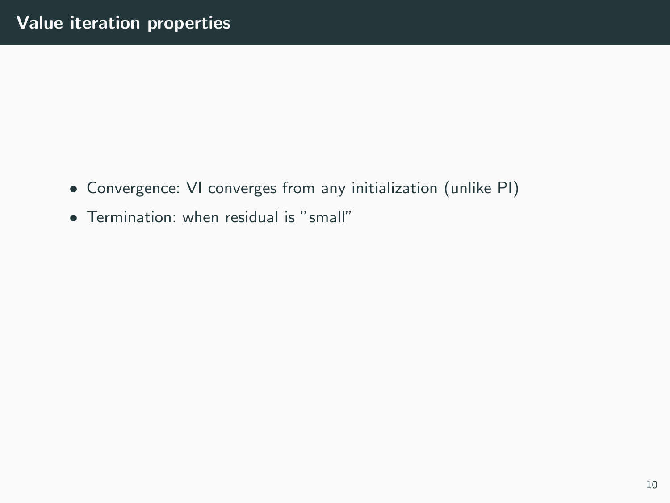- Convergence: VI converges from any initialization (unlike PI)
- Termination: when residual is "small"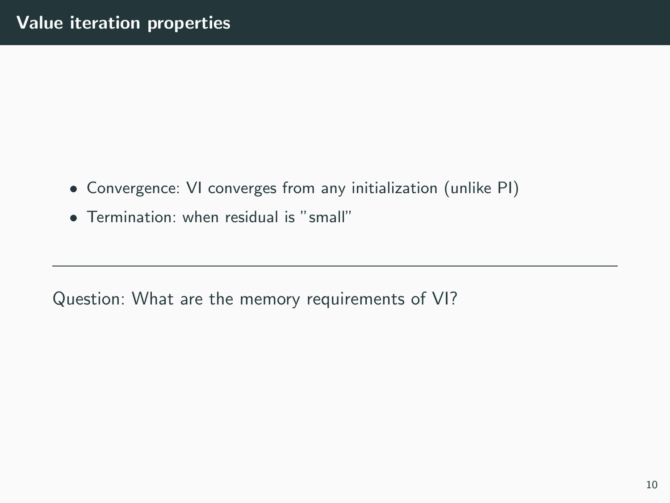- Convergence: VI converges from any initialization (unlike PI)
- Termination: when residual is "small"

Question: What are the memory requirements of VI?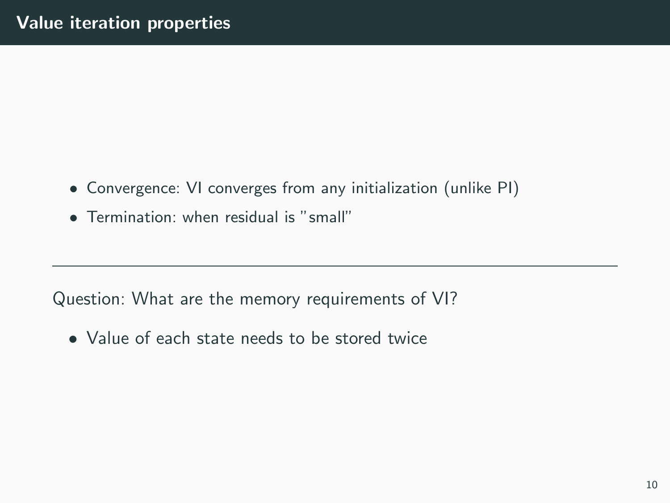- Convergence: VI converges from any initialization (unlike PI)
- Termination: when residual is "small"

Question: What are the memory requirements of VI?

• Value of each state needs to be stored twice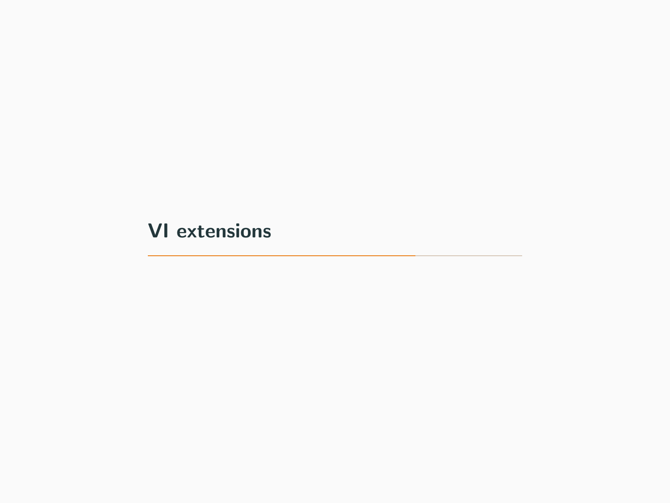<span id="page-22-0"></span>[VI extensions](#page-22-0)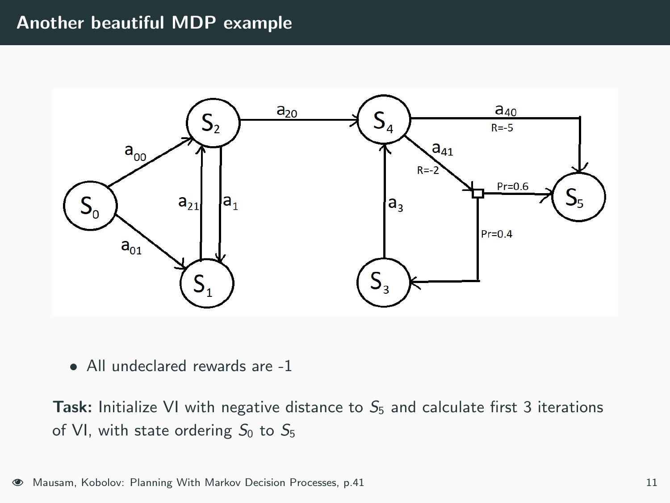### Another beautiful MDP example



• All undeclared rewards are -1

**Task:** Initialize VI with negative distance to  $S_5$  and calculate first 3 iterations of VI, with state ordering  $S_0$  to  $S_5$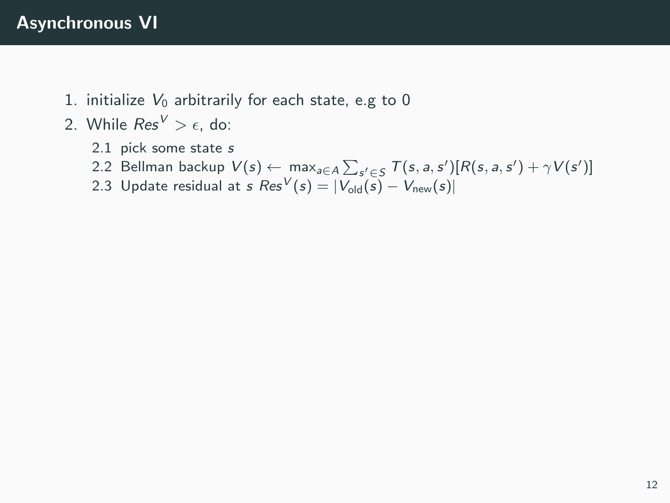- 1. initialize  $V_0$  arbitrarily for each state, e.g to 0
- 2. While  $Res^V > \epsilon$ , do:
	- 2.1 pick some state s
	- 2.2 Bellman backup  $V(s) \leftarrow \max_{a \in A} \sum_{s' \in S} T(s, a, s') [R(s, a, s') + \gamma V(s')]$
	- 2.3 Update residual at s  $Res^V(s) = |V_{old}(s) V_{new}(s)|$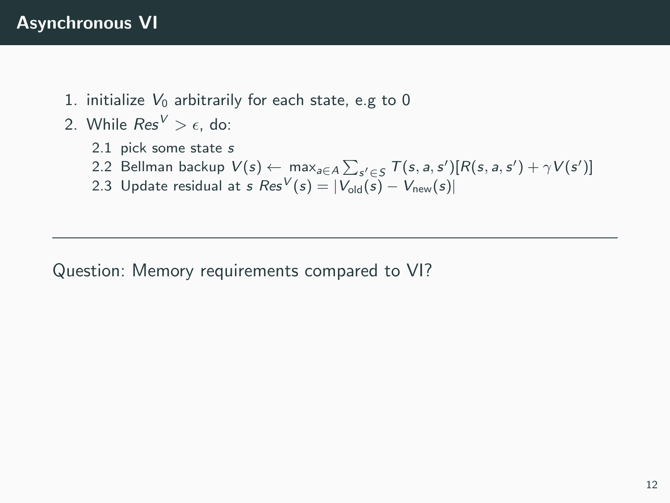- 1. initialize  $V_0$  arbitrarily for each state, e.g to 0
- 2. While  $Res^V > \epsilon$ , do:
	- 2.1 pick some state s
	- 2.2 Bellman backup  $V(s) \leftarrow \max_{a \in A} \sum_{s' \in S} T(s, a, s') [R(s, a, s') + \gamma V(s')]$
	- 2.3 Update residual at s  $Res^V(s) = |V_{old}(s) V_{new}(s)|$

Question: Memory requirements compared to VI?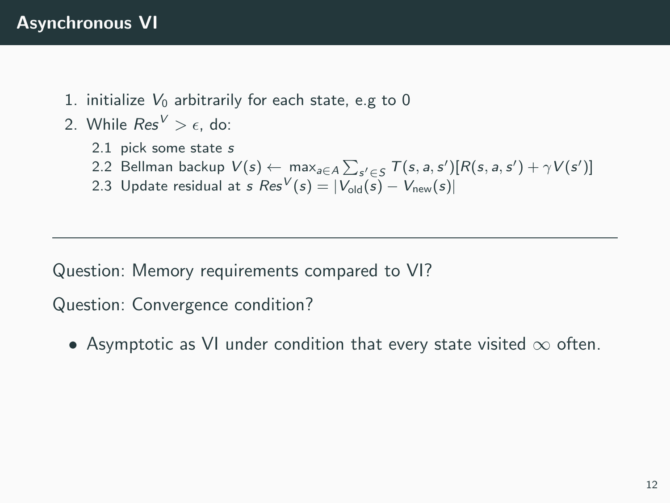- 1. initialize  $V_0$  arbitrarily for each state, e.g to 0
- 2. While  $Res^V > \epsilon$ , do:
	- 2.1 pick some state s
	- 2.2 Bellman backup  $V(s) \leftarrow \max_{a \in A} \sum_{s' \in S} T(s, a, s') [R(s, a, s') + \gamma V(s')]$
	- 2.3 Update residual at s  $Res^V(s) = |V_{old}(s) V_{new}(s)|$

Question: Memory requirements compared to VI?

Question: Convergence condition?

• Asymptotic as VI under condition that every state visited  $\infty$  often.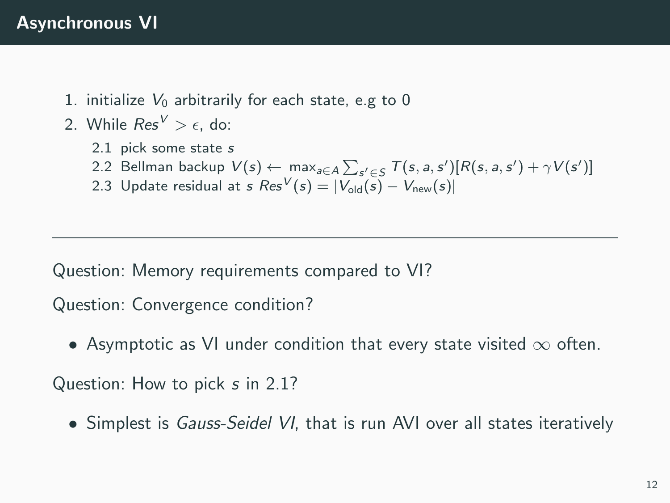- 1. initialize  $V_0$  arbitrarily for each state, e.g to 0
- 2. While  $Res^V > \epsilon$ , do:
	- 2.1 pick some state s
	- 2.2 Bellman backup  $V(s) \leftarrow \max_{a \in A} \sum_{s' \in S} T(s, a, s') [R(s, a, s') + \gamma V(s')]$
	- 2.3 Update residual at s  $Res^V(s) = |V_{old}(s) V_{new}(s)|$

Question: Memory requirements compared to VI?

Question: Convergence condition?

• Asymptotic as VI under condition that every state visited  $\infty$  often.

Question: How to pick s in 2.1?

• Simplest is Gauss-Seidel VI, that is run AVI over all states iteratively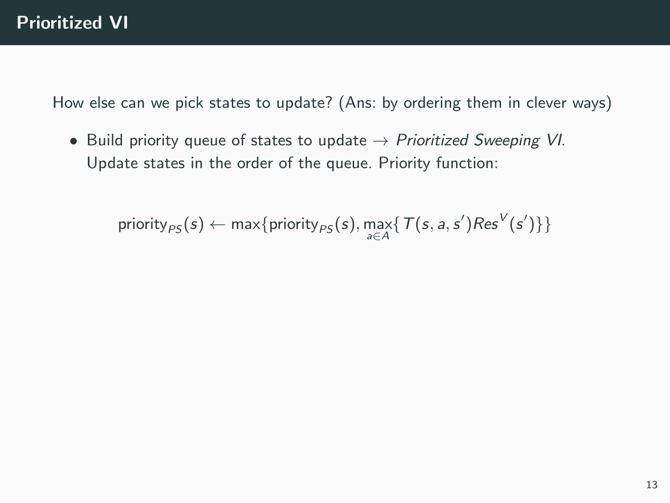• Build priority queue of states to update  $\rightarrow$  Prioritized Sweeping VI. Update states in the order of the queue. Priority function:

 $\text{priority}_{PS}(s) \leftarrow \max\{\text{priority}_{PS}(s), \max_{a \in A} \{ T(s, a, s') \text{Res}^{V}(s') \} \}$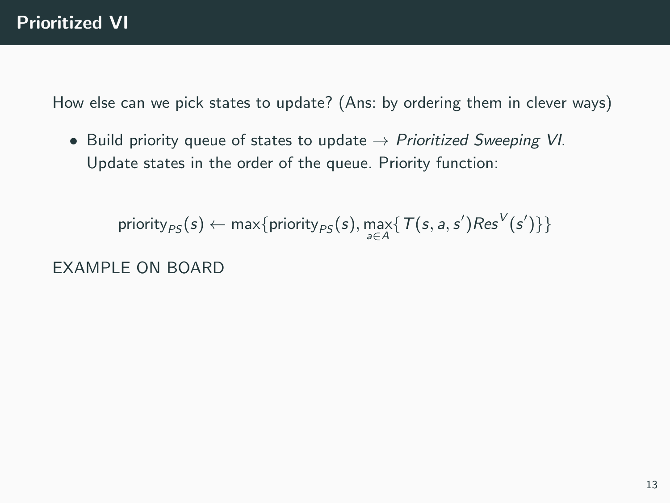• Build priority queue of states to update  $\rightarrow$  Prioritized Sweeping VI. Update states in the order of the queue. Priority function:

```
\text{priority}_{PS}(s) \leftarrow \max\{\text{priority}_{PS}(s), \max_{a \in A} \{ T(s, a, s') \text{Res}^{V}(s') \} \}
```
EXAMPLE ON BOARD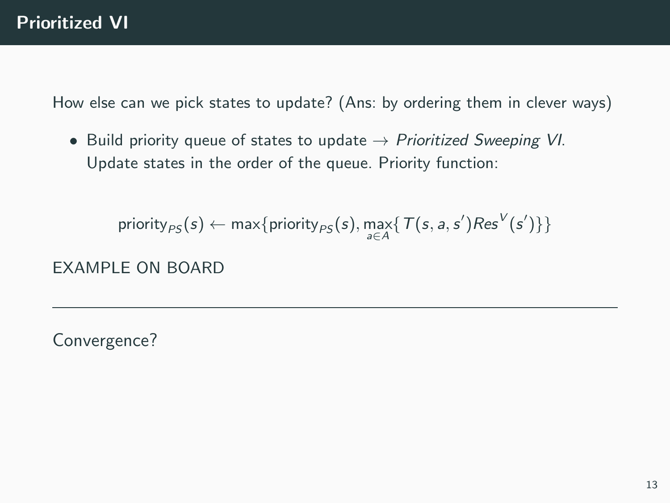• Build priority queue of states to update  $\rightarrow$  Prioritized Sweeping VI. Update states in the order of the queue. Priority function:

```
\text{priority}_{PS}(s) \leftarrow \max\{\text{priority}_{PS}(s), \max_{a \in A} \{ T(s, a, s') \text{Res}^{V}(s') \} \}
```
EXAMPLE ON BOARD

Convergence?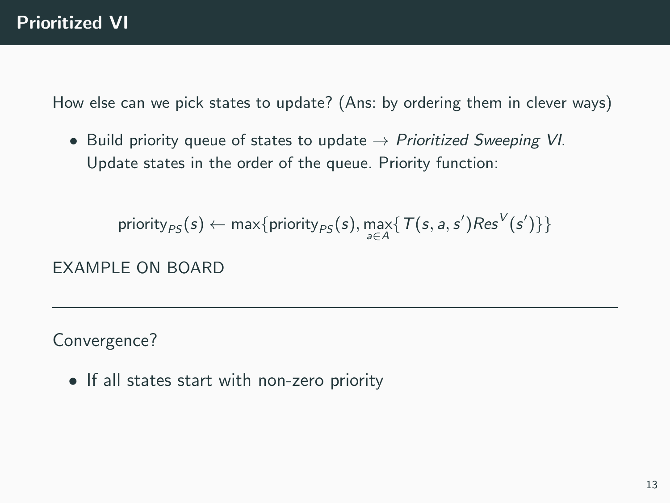• Build priority queue of states to update  $\rightarrow$  Prioritized Sweeping VI. Update states in the order of the queue. Priority function:

```
\text{priority}_{PS}(s) \leftarrow \max\{\text{priority}_{PS}(s), \max_{a \in A} \{ T(s, a, s') \text{Res}^{V}(s') \} \}
```
EXAMPLE ON BOARD

Convergence?

• If all states start with non-zero priority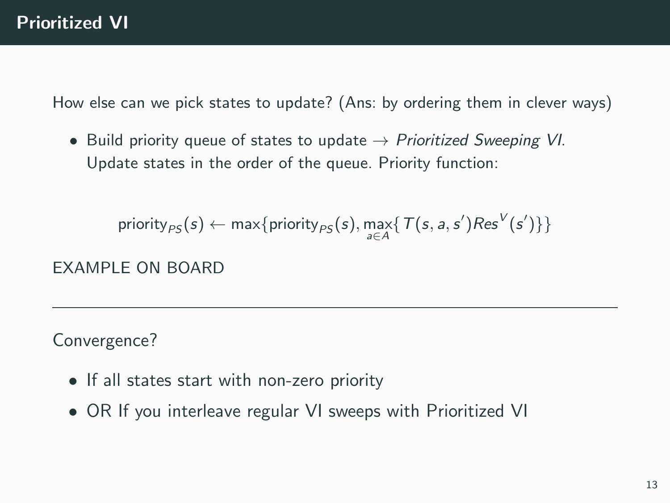• Build priority queue of states to update  $\rightarrow$  Prioritized Sweeping VI. Update states in the order of the queue. Priority function:

```
\text{priority}_{PS}(s) \leftarrow \max\{\text{priority}_{PS}(s), \max_{a \in A} \{ T(s, a, s') \text{Res}^{V}(s') \} \}
```
EXAMPLE ON BOARD

Convergence?

- If all states start with non-zero priority
- OR If you interleave regular VI sweeps with Prioritized VI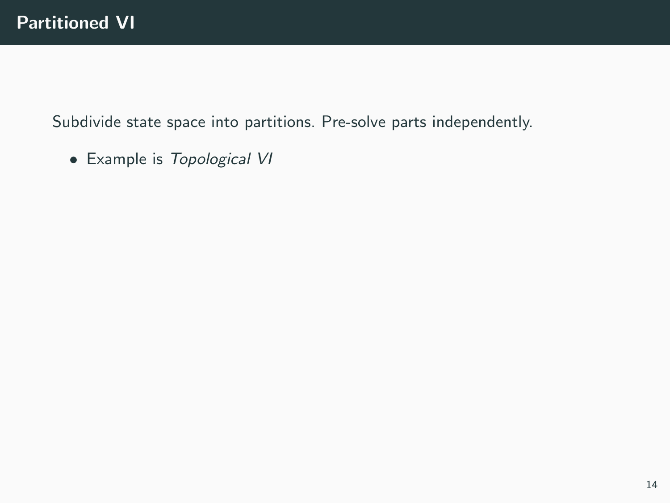• Example is Topological VI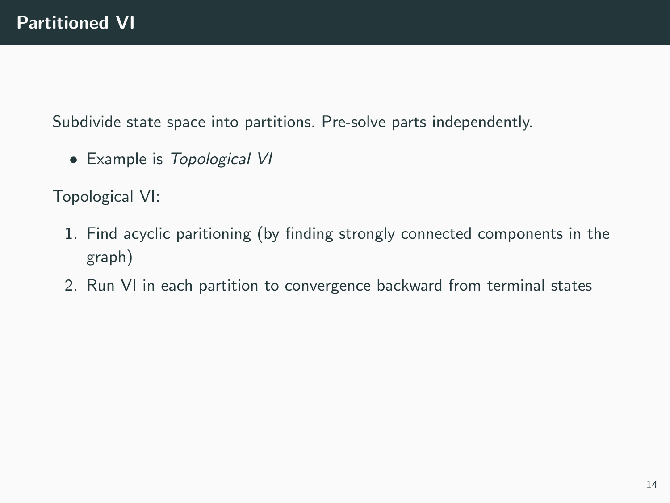• Example is Topological VI

Topological VI:

- 1. Find acyclic paritioning (by finding strongly connected components in the graph)
- 2. Run VI in each partition to convergence backward from terminal states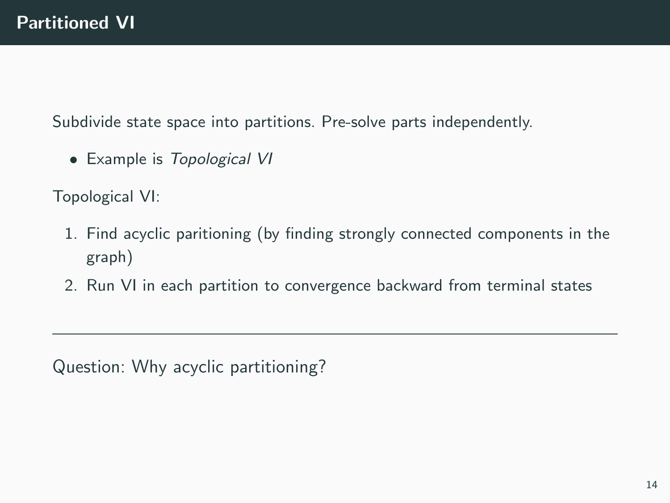• Example is Topological VI

Topological VI:

- 1. Find acyclic paritioning (by finding strongly connected components in the graph)
- 2. Run VI in each partition to convergence backward from terminal states

Question: Why acyclic partitioning?